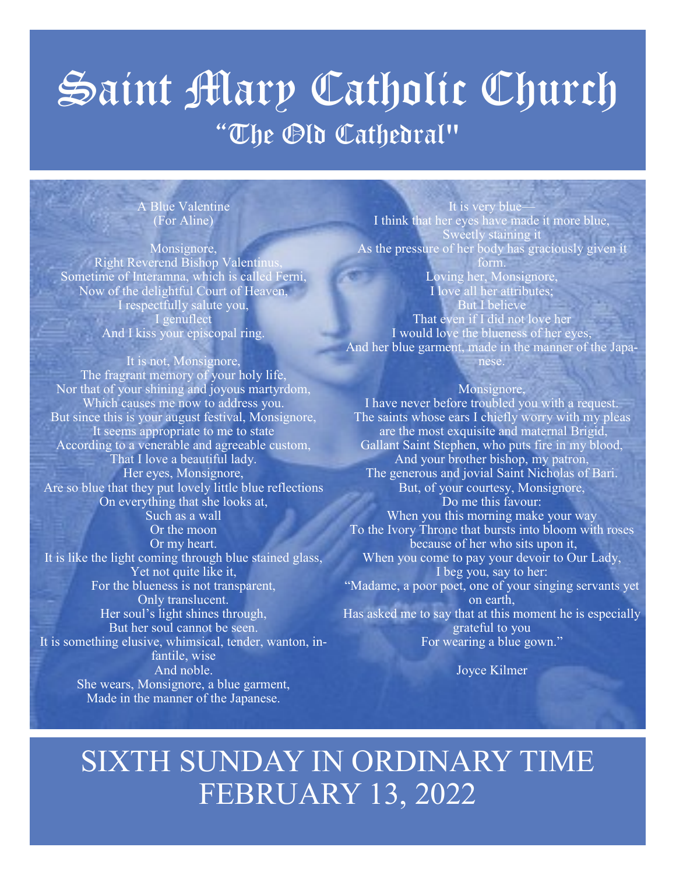# Saint Mary Catholic Church "The Old Cathedral"

A Blue Valentine (For Aline)

Monsignore, Right Reverend Bishop Valentinus, Sometime of Interamna, which is called Ferni, Now of the delightful Court of Heaven, I respectfully salute you, I genuflect And I kiss your episcopal ring.

It is not, Monsignore, The fragrant memory of your holy life, Nor that of your shining and joyous martyrdom, Which causes me now to address you. But since this is your august festival, Monsignore, It seems appropriate to me to state According to a venerable and agreeable custom, That I love a beautiful lady. Her eyes, Monsignore, Are so blue that they put lovely little blue reflections On everything that she looks at, Such as a wall Or the moon Or my heart. It is like the light coming through blue stained glass, Yet not quite like it, For the blueness is not transparent, Only translucent. Her soul's light shines through, But her soul cannot be seen. It is something elusive, whimsical, tender, wanton, infantile, wise And noble. She wears, Monsignore, a blue garment, Made in the manner of the Japanese.

It is very blue I think that her eyes have made it more blue, Sweetly staining it As the pressure of her body has graciously given it form.

Loving her, Monsignore, I love all her attributes; But I believe That even if I did not love her I would love the blueness of her eyes, And her blue garment, made in the manner of the Japanese.

#### Monsignore,

I have never before troubled you with a request. The saints whose ears I chiefly worry with my pleas are the most exquisite and maternal Brigid, Gallant Saint Stephen, who puts fire in my blood, And your brother bishop, my patron, The generous and jovial Saint Nicholas of Bari. But, of your courtesy, Monsignore, Do me this favour: When you this morning make your way To the Ivory Throne that bursts into bloom with roses because of her who sits upon it, When you come to pay your devoir to Our Lady, I beg you, say to her: "Madame, a poor poet, one of your singing servants yet on earth, Has asked me to say that at this moment he is especially grateful to you For wearing a blue gown."

Joyce Kilmer

## SIXTH SUNDAY IN ORDINARY TIME FEBRUARY 13, 2022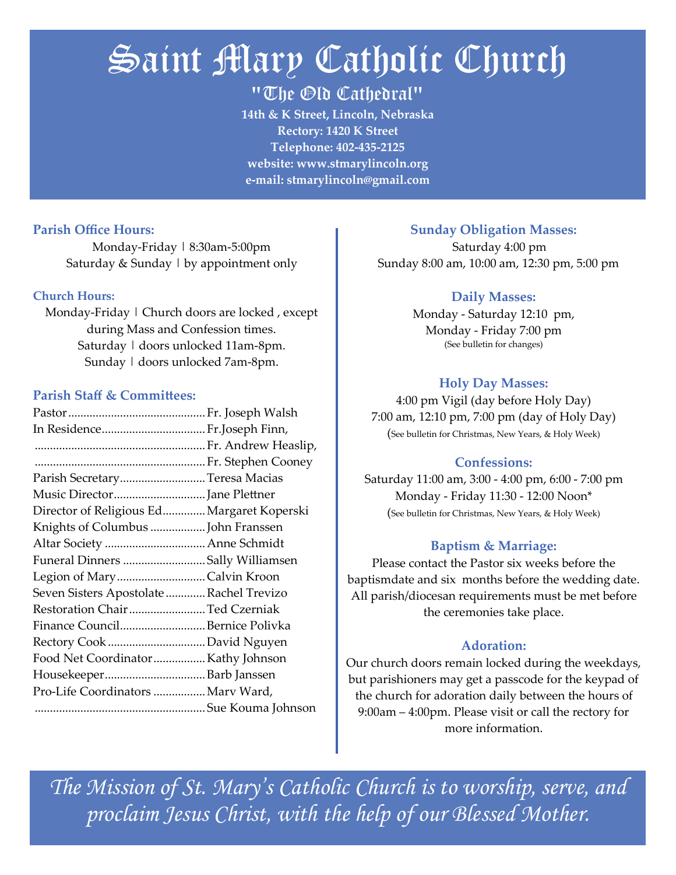## Saint Mary Catholic Church

"The Old Cathedral"

**14th & K Street, Lincoln, Nebraska Rectory: 1420 K Street Telephone: 402-435-2125 website: www.stmarylincoln.org e-mail: stmarylincoln@gmail.com**

#### **Parish Office Hours:**

Monday-Friday | 8:30am-5:00pm Saturday  $&$  Sunday  $\vert$  by appointment only

#### **Church Hours:**

Monday-Friday | Church doors are locked, except during Mass and Confession times. Saturday | doors unlocked 11am-8pm. Sunday | doors unlocked 7am-8pm.

#### **Parish Staff & Committees:**

| Parish SecretaryTeresa Macias              |  |
|--------------------------------------------|--|
| Music DirectorJane Plettner                |  |
| Director of Religious Ed Margaret Koperski |  |
| Knights of Columbus  John Franssen         |  |
| Altar Society  Anne Schmidt                |  |
| Funeral Dinners Sally Williamsen           |  |
| Legion of MaryCalvin Kroon                 |  |
| Seven Sisters Apostolate Rachel Trevizo    |  |
| Restoration Chair Ted Czerniak             |  |
| Finance CouncilBernice Polivka             |  |
|                                            |  |
| Food Net CoordinatorKathy Johnson          |  |
|                                            |  |
| Pro-Life Coordinators  Marv Ward,          |  |
|                                            |  |

#### **Sunday Obligation Masses:**

 Saturday 4:00 pm Sunday 8:00 am, 10:00 am, 12:30 pm, 5:00 pm

#### **Daily Masses:**

Monday - Saturday 12:10 pm, Monday - Friday 7:00 pm (See bulletin for changes)

#### **Holy Day Masses:**

4:00 pm Vigil (day before Holy Day) 7:00 am, 12:10 pm, 7:00 pm (day of Holy Day) (See bulletin for Christmas, New Years, & Holy Week)

#### **Confessions:**

Saturday 11:00 am, 3:00 - 4:00 pm, 6:00 - 7:00 pm Monday - Friday 11:30 - 12:00 Noon\* (See bulletin for Christmas, New Years, & Holy Week)

#### **Baptism & Marriage:**

Please contact the Pastor six weeks before the baptismdate and six months before the wedding date. All parish/diocesan requirements must be met before the ceremonies take place.

#### **Adoration:**

Our church doors remain locked during the weekdays, but parishioners may get a passcode for the keypad of the church for adoration daily between the hours of 9:00am – 4:00pm. Please visit or call the rectory for more information.

*The Mission of St. Mary's Catholic Church is to worship, serve, and proclaim Jesus Christ, with the help of our Blessed Mother.*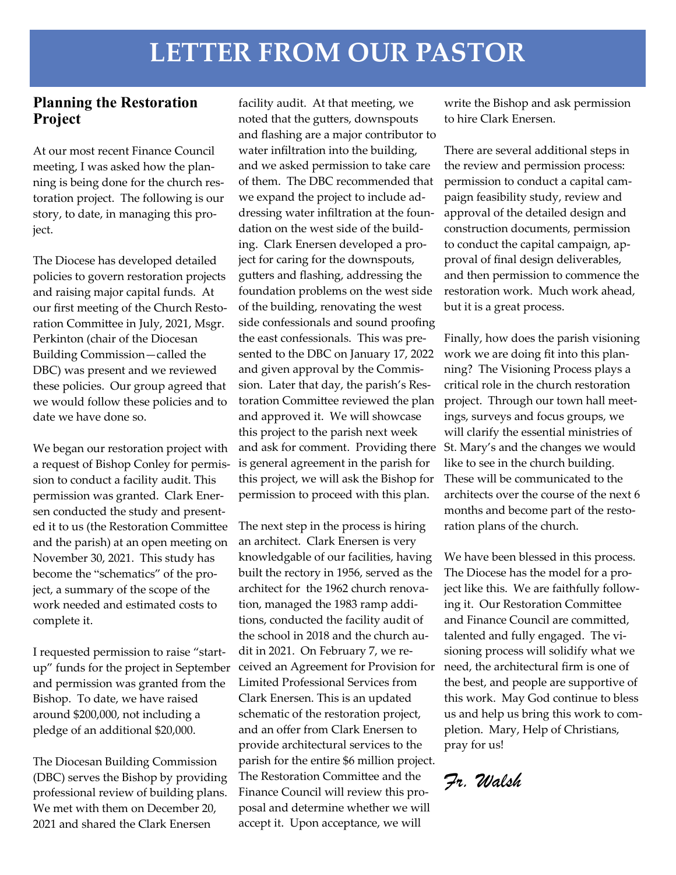### **LETTER FROM OUR PASTOR**

#### **Planning the Restoration Project**

At our most recent Finance Council meeting, I was asked how the planning is being done for the church restoration project. The following is our story, to date, in managing this project.

The Diocese has developed detailed policies to govern restoration projects and raising major capital funds. At our first meeting of the Church Restoration Committee in July, 2021, Msgr. Perkinton (chair of the Diocesan Building Commission—called the DBC) was present and we reviewed these policies. Our group agreed that we would follow these policies and to date we have done so.

We began our restoration project with a request of Bishop Conley for permission to conduct a facility audit. This permission was granted. Clark Enersen conducted the study and presented it to us (the Restoration Committee and the parish) at an open meeting on November 30, 2021. This study has become the "schematics" of the project, a summary of the scope of the work needed and estimated costs to complete it.

I requested permission to raise "startup" funds for the project in September and permission was granted from the Bishop. To date, we have raised around \$200,000, not including a pledge of an additional \$20,000.

The Diocesan Building Commission (DBC) serves the Bishop by providing professional review of building plans. We met with them on December 20, 2021 and shared the Clark Enersen

facility audit. At that meeting, we noted that the gutters, downspouts and flashing are a major contributor to water infiltration into the building, and we asked permission to take care of them. The DBC recommended that we expand the project to include addressing water infiltration at the foundation on the west side of the building. Clark Enersen developed a project for caring for the downspouts, gutters and flashing, addressing the foundation problems on the west side of the building, renovating the west side confessionals and sound proofing the east confessionals. This was presented to the DBC on January 17, 2022 and given approval by the Commission. Later that day, the parish's Restoration Committee reviewed the plan and approved it. We will showcase this project to the parish next week and ask for comment. Providing there St. Mary's and the changes we would is general agreement in the parish for this project, we will ask the Bishop for permission to proceed with this plan.

The next step in the process is hiring an architect. Clark Enersen is very knowledgable of our facilities, having built the rectory in 1956, served as the architect for the 1962 church renovation, managed the 1983 ramp additions, conducted the facility audit of the school in 2018 and the church audit in 2021. On February 7, we received an Agreement for Provision for Limited Professional Services from Clark Enersen. This is an updated schematic of the restoration project, and an offer from Clark Enersen to provide architectural services to the parish for the entire \$6 million project. The Restoration Committee and the Finance Council will review this proposal and determine whether we will accept it. Upon acceptance, we will

write the Bishop and ask permission to hire Clark Enersen.

There are several additional steps in the review and permission process: permission to conduct a capital campaign feasibility study, review and approval of the detailed design and construction documents, permission to conduct the capital campaign, approval of final design deliverables, and then permission to commence the restoration work. Much work ahead, but it is a great process.

Finally, how does the parish visioning work we are doing fit into this planning? The Visioning Process plays a critical role in the church restoration project. Through our town hall meetings, surveys and focus groups, we will clarify the essential ministries of like to see in the church building. These will be communicated to the architects over the course of the next 6 months and become part of the restoration plans of the church.

We have been blessed in this process. The Diocese has the model for a project like this. We are faithfully following it. Our Restoration Committee and Finance Council are committed, talented and fully engaged. The visioning process will solidify what we need, the architectural firm is one of the best, and people are supportive of this work. May God continue to bless us and help us bring this work to completion. Mary, Help of Christians, pray for us!

*Fr. Walsh*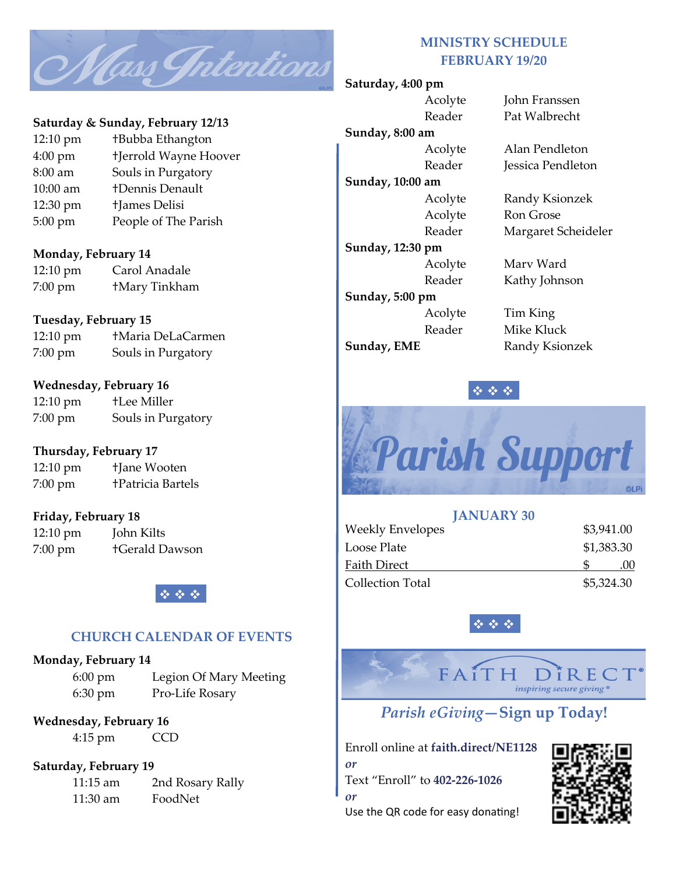

#### **Saturday & Sunday, February 12/13**

12:10 pm †Bubba Ethangton 4:00 pm †Jerrold Wayne Hoover 8:00 am Souls in Purgatory 10:00 am †Dennis Denault 12:30 pm †James Delisi 5:00 pm People of The Parish

#### **Monday, February 14**

| $12:10 \text{ pm}$ | Carol Anadale        |
|--------------------|----------------------|
| $7:00 \text{ pm}$  | <b>+Mary Tinkham</b> |

#### **Tuesday, February 15**

| $12:10 \text{ pm}$ | †Maria DeLaCarmen  |
|--------------------|--------------------|
| $7:00 \text{ pm}$  | Souls in Purgatory |

#### **Wednesday, February 16**

| $12:10 \text{ pm}$ | <b>+Lee Miller</b> |
|--------------------|--------------------|
| $7:00 \text{ pm}$  | Souls in Purgatory |

#### **Thursday, February 17**

12:10 pm †Jane Wooten 7:00 pm †Patricia Bartels

#### **Friday, February 18**

| 12:10 pm | John Kilts            |
|----------|-----------------------|
| 7:00 pm  | <b>+Gerald Dawson</b> |



#### **CHURCH CALENDAR OF EVENTS**

#### **Monday, February 14**

6:00 pm Legion Of Mary Meeting 6:30 pm Pro-Life Rosary

#### **Wednesday, February 16** 4:15 pm CCD

#### **Saturday, February 19**

11:15 am 2nd Rosary Rally 11:30 am FoodNet

#### **MINISTRY SCHEDULE FEBRUARY 19/20**

#### **Saturday, 4:00 pm**

**Sunday, 8:00 am Sunday, 10:00 am Sunday, 12:30 pm Sunday, 5:00 pm Sunday, EME** Randy Ksionzek

Acolyte John Franssen Reader Pat Walbrecht

Acolyte Alan Pendleton Reader **Jessica Pendleton** 

Acolyte Randy Ksionzek Acolyte Ron Grose Reader Margaret Scheideler

Acolyte Marv Ward Reader Kathy Johnson

Acolyte Tim King Reader Mike Kluck





| <b>JANUARY 30</b> |            |
|-------------------|------------|
| Weekly Envelopes  | \$3,941.00 |
| Loose Plate       | \$1,383.30 |
| Faith Direct      | (0()       |
| Collection Total  | \$5,324.30 |

❖ ❖ ❖

inspiring secure giving *Parish eGiving***—Sign up Today!**

Enroll online at **faith.direct/NE1128** *or* Text "Enroll" to **402-226-1026** *or* Use the QR code for easy donating!



DîREC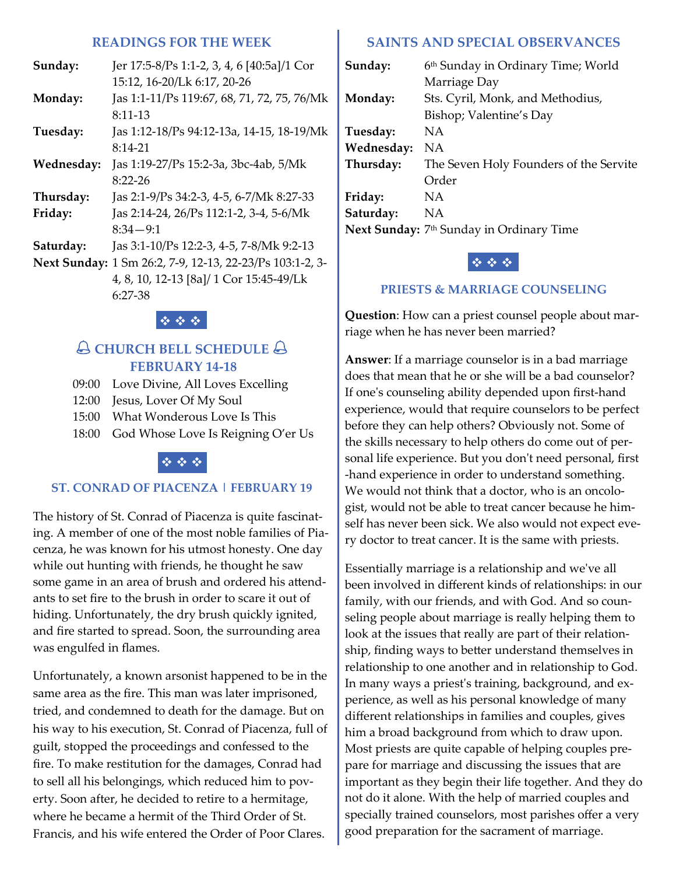#### **READINGS FOR THE WEEK**

| Sunday:             | Jer 17:5-8/Ps 1:1-2, 3, 4, 6 [40:5a]/1 Cor  |
|---------------------|---------------------------------------------|
|                     | 15:12, 16-20/Lk 6:17, 20-26                 |
| Monday:             | Jas 1:1-11/Ps 119:67, 68, 71, 72, 75, 76/Mk |
|                     | $8:11-13$                                   |
| Tuesday:            | Jas 1:12-18/Ps 94:12-13a, 14-15, 18-19/Mk   |
|                     | $8:14-21$                                   |
| Wednesday:          | Jas 1:19-27/Ps 15:2-3a, 3bc-4ab, 5/Mk       |
|                     | $8:22 - 26$                                 |
| Thursday:           | Jas 2:1-9/Ps 34:2-3, 4-5, 6-7/Mk 8:27-33    |
| Friday:             | Jas 2:14-24, 26/Ps 112:1-2, 3-4, 5-6/Mk     |
|                     | $8:34 - 9:1$                                |
| Saturday:           | Jas 3:1-10/Ps 12:2-3, 4-5, 7-8/Mk 9:2-13    |
| <b>Next Sunday:</b> | 1 Sm 26:2, 7-9, 12-13, 22-23/Ps 103:1-2, 3- |
|                     | 4, 8, 10, 12-13 [8a]/ 1 Cor 15:45-49/Lk     |
|                     | 6:27-38                                     |

#### ❖ ❖ ❖

#### **CHURCH BELL SCHEDULE FEBRUARY 14-18**

- 09:00 Love Divine, All Loves Excelling
- 12:00 Jesus, Lover Of My Soul
- 15:00 What Wonderous Love Is This
- 18:00 God Whose Love Is Reigning O'er Us



#### **ST. CONRAD OF PIACENZA | FEBRUARY 19**

The history of St. Conrad of Piacenza is quite fascinating. A member of one of the most noble families of Piacenza, he was known for his utmost honesty. One day while out hunting with friends, he thought he saw some game in an area of brush and ordered his attendants to set fire to the brush in order to scare it out of hiding. Unfortunately, the dry brush quickly ignited, and fire started to spread. Soon, the surrounding area was engulfed in flames.

Unfortunately, a known arsonist happened to be in the same area as the fire. This man was later imprisoned, tried, and condemned to death for the damage. But on his way to his execution, St. Conrad of Piacenza, full of guilt, stopped the proceedings and confessed to the fire. To make restitution for the damages, Conrad had to sell all his belongings, which reduced him to poverty. Soon after, he decided to retire to a hermitage, where he became a hermit of the Third Order of St. Francis, and his wife entered the Order of Poor Clares.

#### **SAINTS AND SPECIAL OBSERVANCES**

| Sunday:    | 6th Sunday in Ordinary Time; World                   |
|------------|------------------------------------------------------|
|            | Marriage Day                                         |
| Monday:    | Sts. Cyril, Monk, and Methodius,                     |
|            | Bishop; Valentine's Day                              |
| Tuesday:   | ΝA                                                   |
| Wednesday: | ΝA                                                   |
| Thursday:  | The Seven Holy Founders of the Servite               |
|            | Order                                                |
| Friday:    | NA.                                                  |
| Saturday:  | ΝA                                                   |
|            | Next Sunday: 7 <sup>th</sup> Sunday in Ordinary Time |

#### ❖ ❖ ❖

#### **PRIESTS & MARRIAGE COUNSELING**

**Question**: How can a priest counsel people about marriage when he has never been married?

**Answer**: If a marriage counselor is in a bad marriage does that mean that he or she will be a bad counselor? If one's counseling ability depended upon first-hand experience, would that require counselors to be perfect before they can help others? Obviously not. Some of the skills necessary to help others do come out of personal life experience. But you don't need personal, first -hand experience in order to understand something. We would not think that a doctor, who is an oncologist, would not be able to treat cancer because he himself has never been sick. We also would not expect every doctor to treat cancer. It is the same with priests.

Essentially marriage is a relationship and we've all been involved in different kinds of relationships: in our family, with our friends, and with God. And so counseling people about marriage is really helping them to look at the issues that really are part of their relationship, finding ways to better understand themselves in relationship to one another and in relationship to God. In many ways a priest's training, background, and experience, as well as his personal knowledge of many different relationships in families and couples, gives him a broad background from which to draw upon. Most priests are quite capable of helping couples prepare for marriage and discussing the issues that are important as they begin their life together. And they do not do it alone. With the help of married couples and specially trained counselors, most parishes offer a very good preparation for the sacrament of marriage.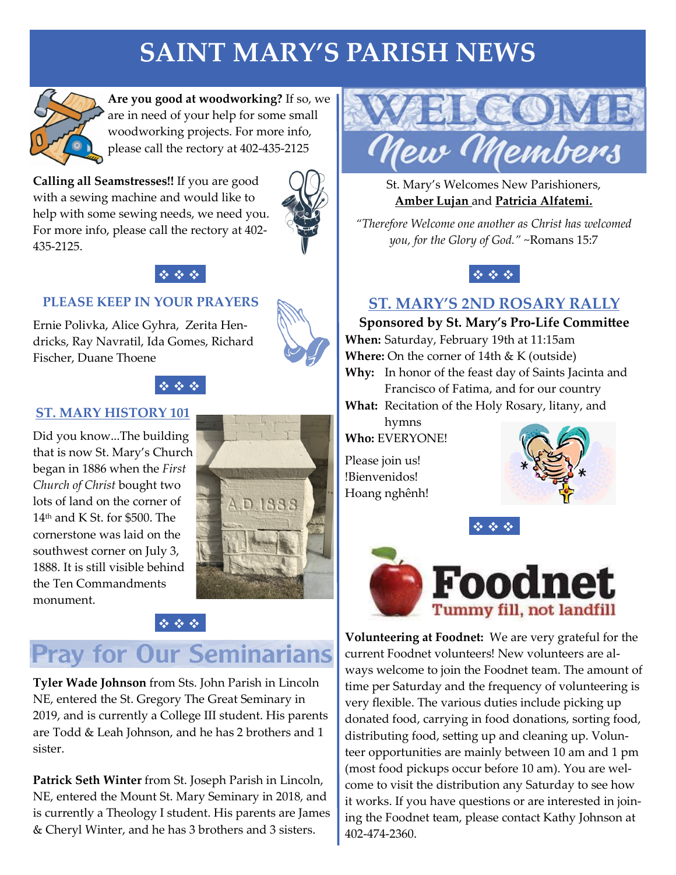## **SAINT MARY'S PARISH NEWS**



**Are you good at woodworking?** If so, we are in need of your help for some small woodworking projects. For more info, please call the rectory at 402-435-2125

**Calling all Seamstresses!!** If you are good with a sewing machine and would like to help with some sewing needs, we need you. For more info, please call the rectory at 402- 435-2125.



#### **PLEASE KEEP IN YOUR PRAYERS**

Ernie Polivka, Alice Gyhra, Zerita Hendricks, Ray Navratil, Ida Gomes, Richard Fischer, Duane Thoene



#### ❖ ❖ ❖

#### **ST. MARY HISTORY 101**

Did you know...The building that is now St. Mary's Church began in 1886 when the *First Church of Christ* bought two lots of land on the corner of 14th and K St. for \$500. The cornerstone was laid on the southwest corner on July 3, 1888. It is still visible behind the Ten Commandments monument.



### ❖ ❖ ❖

### **Pray for Our Seminarians**

**Tyler Wade Johnson** from Sts. John Parish in Lincoln NE, entered the St. Gregory The Great Seminary in 2019, and is currently a College III student. His parents are Todd & Leah Johnson, and he has 2 brothers and 1 sister.

**Patrick Seth Winter** from St. Joseph Parish in Lincoln, NE, entered the Mount St. Mary Seminary in 2018, and is currently a Theology I student. His parents are James & Cheryl Winter, and he has 3 brothers and 3 sisters.



St. Mary's Welcomes New Parishioners, **Amber Lujan** and **Patricia Alfatemi.** 

*"Therefore Welcome one another as Christ has welcomed you, for the Glory of God."* ~Romans 15:7



### **ST. MARY'S 2ND ROSARY RALLY**

**Sponsored by St. Mary's Pro-Life Committee When:** Saturday, February 19th at 11:15am **Where:** On the corner of 14th & K (outside) **Why:** In honor of the feast day of Saints Jacinta and

Francisco of Fatima, and for our country

**What:** Recitation of the Holy Rosary, litany, and

hymns **Who:** EVERYONE!

Please join us! !Bienvenidos! Hoang nghênh!







**Volunteering at Foodnet:** We are very grateful for the current Foodnet volunteers! New volunteers are always welcome to join the Foodnet team. The amount of time per Saturday and the frequency of volunteering is very flexible. The various duties include picking up donated food, carrying in food donations, sorting food, distributing food, setting up and cleaning up. Volunteer opportunities are mainly between 10 am and 1 pm (most food pickups occur before 10 am). You are welcome to visit the distribution any Saturday to see how it works. If you have questions or are interested in joining the Foodnet team, please contact Kathy Johnson at 402-474-2360.